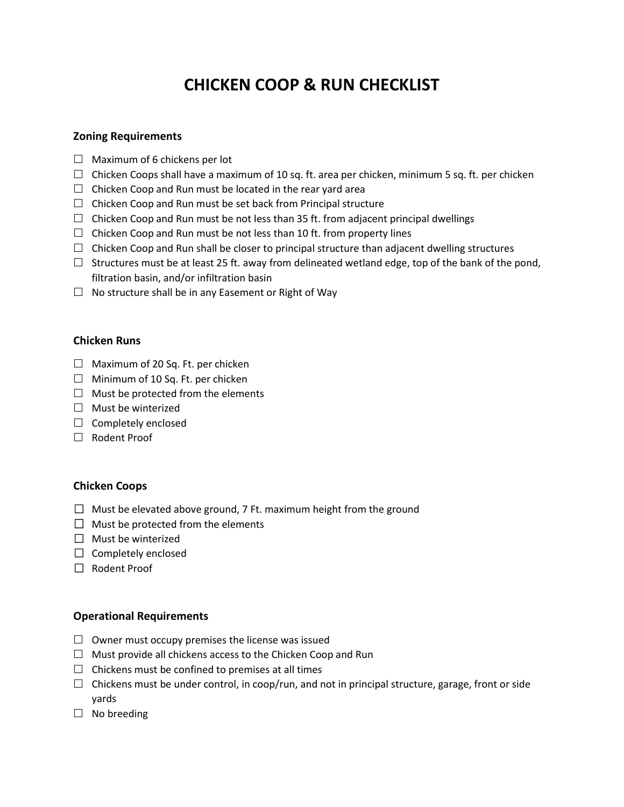# **CHICKEN COOP & RUN CHECKLIST**

#### **Zoning Requirements**

- $\Box$  Maximum of 6 chickens per lot
- $\Box$  Chicken Coops shall have a maximum of 10 sq. ft. area per chicken, minimum 5 sq. ft. per chicken
- $\Box$  Chicken Coop and Run must be located in the rear yard area
- $\Box$  Chicken Coop and Run must be set back from Principal structure
- $\Box$  Chicken Coop and Run must be not less than 35 ft. from adjacent principal dwellings
- $\Box$  Chicken Coop and Run must be not less than 10 ft. from property lines
- $\Box$  Chicken Coop and Run shall be closer to principal structure than adjacent dwelling structures
- $\Box$  Structures must be at least 25 ft. away from delineated wetland edge, top of the bank of the pond, filtration basin, and/or infiltration basin
- $\Box$  No structure shall be in any Easement or Right of Way

### **Chicken Runs**

- $\Box$  Maximum of 20 Sq. Ft. per chicken
- $\Box$  Minimum of 10 Sq. Ft. per chicken
- $\Box$  Must be protected from the elements
- $\Box$  Must be winterized
- $\Box$  Completely enclosed
- □ Rodent Proof

# **Chicken Coops**

- $\Box$  Must be elevated above ground, 7 Ft. maximum height from the ground
- $\Box$  Must be protected from the elements
- $\Box$  Must be winterized
- $\Box$  Completely enclosed
- □ Rodent Proof

# **Operational Requirements**

- $\Box$  Owner must occupy premises the license was issued
- $\Box$  Must provide all chickens access to the Chicken Coop and Run
- $\Box$  Chickens must be confined to premises at all times
- $\Box$  Chickens must be under control, in coop/run, and not in principal structure, garage, front or side yards
- $\Box$  No breeding